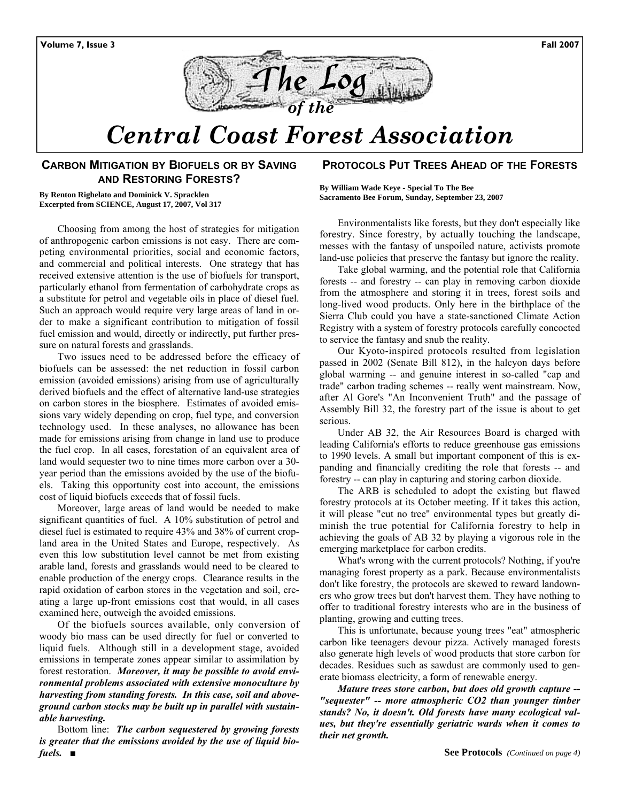



# *Central Coast Forest Association*

#### **CARBON MITIGATION BY BIOFUELS OR BY SAVING AND RESTORING FORESTS?**

**By Renton Righelato and Dominick V. Spracklen Excerpted from SCIENCE, August 17, 2007, Vol 317** 

Choosing from among the host of strategies for mitigation of anthropogenic carbon emissions is not easy. There are competing environmental priorities, social and economic factors, and commercial and political interests. One strategy that has received extensive attention is the use of biofuels for transport, particularly ethanol from fermentation of carbohydrate crops as a substitute for petrol and vegetable oils in place of diesel fuel. Such an approach would require very large areas of land in order to make a significant contribution to mitigation of fossil fuel emission and would, directly or indirectly, put further pressure on natural forests and grasslands.

Two issues need to be addressed before the efficacy of biofuels can be assessed: the net reduction in fossil carbon emission (avoided emissions) arising from use of agriculturally derived biofuels and the effect of alternative land-use strategies on carbon stores in the biosphere. Estimates of avoided emissions vary widely depending on crop, fuel type, and conversion technology used. In these analyses, no allowance has been made for emissions arising from change in land use to produce the fuel crop. In all cases, forestation of an equivalent area of land would sequester two to nine times more carbon over a 30 year period than the emissions avoided by the use of the biofuels. Taking this opportunity cost into account, the emissions cost of liquid biofuels exceeds that of fossil fuels.

Moreover, large areas of land would be needed to make significant quantities of fuel. A 10% substitution of petrol and diesel fuel is estimated to require 43% and 38% of current cropland area in the United States and Europe, respectively. As even this low substitution level cannot be met from existing arable land, forests and grasslands would need to be cleared to enable production of the energy crops. Clearance results in the rapid oxidation of carbon stores in the vegetation and soil, creating a large up-front emissions cost that would, in all cases examined here, outweigh the avoided emissions.

Of the biofuels sources available, only conversion of woody bio mass can be used directly for fuel or converted to liquid fuels. Although still in a development stage, avoided emissions in temperate zones appear similar to assimilation by forest restoration. *Moreover, it may be possible to avoid environmental problems associated with extensive monoculture by harvesting from standing forests. In this case, soil and aboveground carbon stocks may be built up in parallel with sustainable harvesting.* 

Bottom line: *The carbon sequestered by growing forests is greater that the emissions avoided by the use of liquid biofuels. ■*

#### **PROTOCOLS PUT TREES AHEAD OF THE FORESTS**

**By William Wade Keye - Special To The Bee Sacramento Bee Forum, Sunday, September 23, 2007** 

Environmentalists like forests, but they don't especially like forestry. Since forestry, by actually touching the landscape, messes with the fantasy of unspoiled nature, activists promote land-use policies that preserve the fantasy but ignore the reality.

Take global warming, and the potential role that California forests -- and forestry -- can play in removing carbon dioxide from the atmosphere and storing it in trees, forest soils and long-lived wood products. Only here in the birthplace of the Sierra Club could you have a state-sanctioned Climate Action Registry with a system of forestry protocols carefully concocted to service the fantasy and snub the reality.

Our Kyoto-inspired protocols resulted from legislation passed in 2002 (Senate Bill 812), in the halcyon days before global warming -- and genuine interest in so-called "cap and trade" carbon trading schemes -- really went mainstream. Now, after Al Gore's "An Inconvenient Truth" and the passage of Assembly Bill 32, the forestry part of the issue is about to get serious.

Under AB 32, the Air Resources Board is charged with leading California's efforts to reduce greenhouse gas emissions to 1990 levels. A small but important component of this is expanding and financially crediting the role that forests -- and forestry -- can play in capturing and storing carbon dioxide.

The ARB is scheduled to adopt the existing but flawed forestry protocols at its October meeting. If it takes this action, it will please "cut no tree" environmental types but greatly diminish the true potential for California forestry to help in achieving the goals of AB 32 by playing a vigorous role in the emerging marketplace for carbon credits.

What's wrong with the current protocols? Nothing, if you're managing forest property as a park. Because environmentalists don't like forestry, the protocols are skewed to reward landowners who grow trees but don't harvest them. They have nothing to offer to traditional forestry interests who are in the business of planting, growing and cutting trees.

This is unfortunate, because young trees "eat" atmospheric carbon like teenagers devour pizza. Actively managed forests also generate high levels of wood products that store carbon for decades. Residues such as sawdust are commonly used to generate biomass electricity, a form of renewable energy.

*Mature trees store carbon, but does old growth capture -- "sequester" -- more atmospheric CO2 than younger timber stands? No, it doesn't. Old forests have many ecological values, but they're essentially geriatric wards when it comes to their net growth.*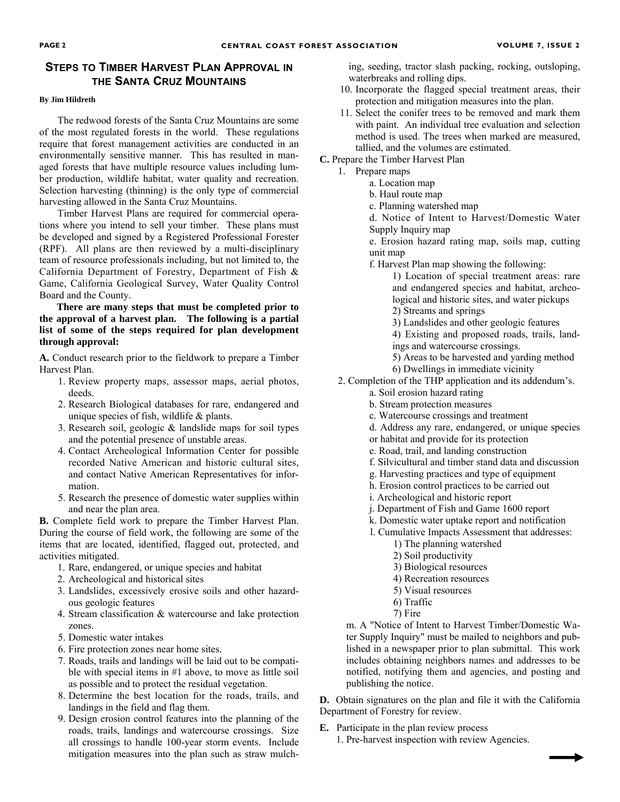#### **STEPS TO TIMBER HARVEST PLAN APPROVAL IN THE SANTA CRUZ MOUNTAINS**

#### **By Jim Hildreth**

The redwood forests of the Santa Cruz Mountains are some of the most regulated forests in the world. These regulations require that forest management activities are conducted in an environmentally sensitive manner. This has resulted in managed forests that have multiple resource values including lumber production, wildlife habitat, water quality and recreation. Selection harvesting (thinning) is the only type of commercial harvesting allowed in the Santa Cruz Mountains.

Timber Harvest Plans are required for commercial operations where you intend to sell your timber. These plans must be developed and signed by a Registered Professional Forester (RPF). All plans are then reviewed by a multi-disciplinary team of resource professionals including, but not limited to, the California Department of Forestry, Department of Fish & Game, California Geological Survey, Water Quality Control Board and the County.

**There are many steps that must be completed prior to the approval of a harvest plan. The following is a partial list of some of the steps required for plan development through approval:**

**A.** Conduct research prior to the fieldwork to prepare a Timber Harvest Plan.

- 1. Review property maps, assessor maps, aerial photos, deeds.
- 2. Research Biological databases for rare, endangered and unique species of fish, wildlife & plants.
- 3. Research soil, geologic & landslide maps for soil types and the potential presence of unstable areas.
- 4. Contact Archeological Information Center for possible recorded Native American and historic cultural sites, and contact Native American Representatives for information.
- 5. Research the presence of domestic water supplies within and near the plan area.

**B.** Complete field work to prepare the Timber Harvest Plan. During the course of field work, the following are some of the items that are located, identified, flagged out, protected, and activities mitigated.

- 1. Rare, endangered, or unique species and habitat
- 2. Archeological and historical sites
- 3. Landslides, excessively erosive soils and other hazardous geologic features
- 4. Stream classification & watercourse and lake protection zones.
- 5. Domestic water intakes
- 6. Fire protection zones near home sites.
- 7. Roads, trails and landings will be laid out to be compatible with special items in #1 above, to move as little soil as possible and to protect the residual vegetation.
- 8. Determine the best location for the roads, trails, and landings in the field and flag them.
- 9. Design erosion control features into the planning of the roads, trails, landings and watercourse crossings. Size all crossings to handle 100-year storm events. Include mitigation measures into the plan such as straw mulch-

ing, seeding, tractor slash packing, rocking, outsloping, waterbreaks and rolling dips.

- 10. Incorporate the flagged special treatment areas, their protection and mitigation measures into the plan.
- 11. Select the conifer trees to be removed and mark them with paint. An individual tree evaluation and selection method is used. The trees when marked are measured, tallied, and the volumes are estimated.

**C.** Prepare the Timber Harvest Plan

- 1. Prepare maps
	- a. Location map
	- b. Haul route map
	- c. Planning watershed map

d. Notice of Intent to Harvest/Domestic Water Supply Inquiry map

e. Erosion hazard rating map, soils map, cutting unit map

f. Harvest Plan map showing the following:

1) Location of special treatment areas: rare and endangered species and habitat, archeological and historic sites, and water pickups

2) Streams and springs

3) Landslides and other geologic features

4) Existing and proposed roads, trails, landings and watercourse crossings.

5) Areas to be harvested and yarding method 6) Dwellings in immediate vicinity

- 2. Completion of the THP application and its addendum's.
	- a. Soil erosion hazard rating
		- b. Stream protection measures
		- c. Watercourse crossings and treatment
		- d. Address any rare, endangered, or unique species
		- or habitat and provide for its protection
	- e. Road, trail, and landing construction
	- f. Silvicultural and timber stand data and discussion
	- g. Harvesting practices and type of equipment
	- h. Erosion control practices to be carried out
	- i. Archeological and historic report
	- j. Department of Fish and Game 1600 report
	- k. Domestic water uptake report and notification
	- l. Cumulative Impacts Assessment that addresses:
		- 1) The planning watershed
		- 2) Soil productivity
		- 3) Biological resources
		- 4) Recreation resources
		- 5) Visual resources
		- 6) Traffic
		- 7) Fire

m. A "Notice of Intent to Harvest Timber/Domestic Water Supply Inquiry" must be mailed to neighbors and published in a newspaper prior to plan submittal. This work includes obtaining neighbors names and addresses to be notified, notifying them and agencies, and posting and publishing the notice.

**D.** Obtain signatures on the plan and file it with the California Department of Forestry for review.

- **E.** Participate in the plan review process
	- 1. Pre-harvest inspection with review Agencies.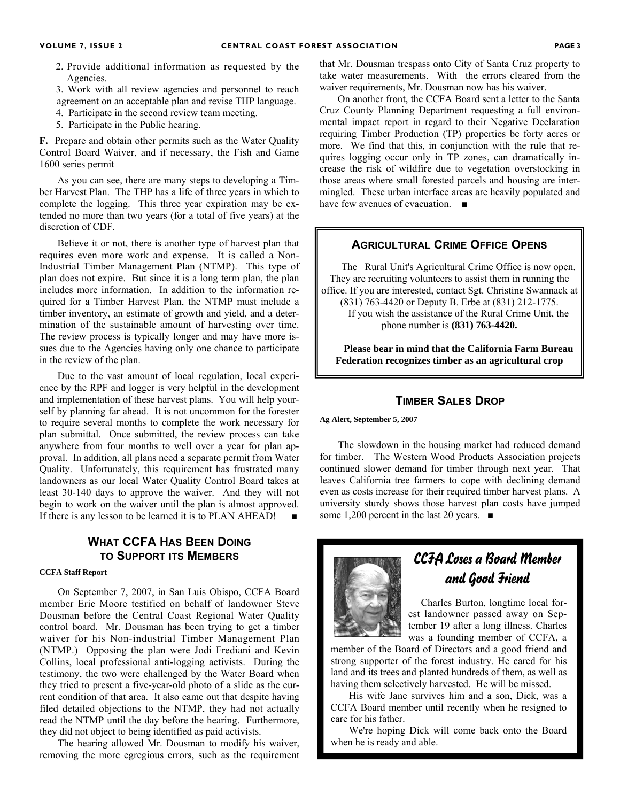- 2. Provide additional information as requested by the Agencies.
- 3. Work with all review agencies and personnel to reach agreement on an acceptable plan and revise THP language.
- 4. Participate in the second review team meeting.
- 5. Participate in the Public hearing.

**F.** Prepare and obtain other permits such as the Water Quality Control Board Waiver, and if necessary, the Fish and Game 1600 series permit

As you can see, there are many steps to developing a Timber Harvest Plan. The THP has a life of three years in which to complete the logging. This three year expiration may be extended no more than two years (for a total of five years) at the discretion of CDF.

Believe it or not, there is another type of harvest plan that requires even more work and expense. It is called a Non-Industrial Timber Management Plan (NTMP). This type of plan does not expire. But since it is a long term plan, the plan includes more information. In addition to the information required for a Timber Harvest Plan, the NTMP must include a timber inventory, an estimate of growth and yield, and a determination of the sustainable amount of harvesting over time. The review process is typically longer and may have more issues due to the Agencies having only one chance to participate in the review of the plan.

Due to the vast amount of local regulation, local experience by the RPF and logger is very helpful in the development and implementation of these harvest plans. You will help yourself by planning far ahead. It is not uncommon for the forester to require several months to complete the work necessary for plan submittal. Once submitted, the review process can take anywhere from four months to well over a year for plan approval. In addition, all plans need a separate permit from Water Quality. Unfortunately, this requirement has frustrated many landowners as our local Water Quality Control Board takes at least 30-140 days to approve the waiver. And they will not begin to work on the waiver until the plan is almost approved. If there is any lesson to be learned it is to PLAN AHEAD!

### **WHAT CCFA HAS BEEN DOING TO SUPPORT ITS MEMBERS**

#### **CCFA Staff Report**

On September 7, 2007, in San Luis Obispo, CCFA Board member Eric Moore testified on behalf of landowner Steve Dousman before the Central Coast Regional Water Quality control board. Mr. Dousman has been trying to get a timber waiver for his Non-industrial Timber Management Plan (NTMP.) Opposing the plan were Jodi Frediani and Kevin Collins, local professional anti-logging activists. During the testimony, the two were challenged by the Water Board when they tried to present a five-year-old photo of a slide as the current condition of that area. It also came out that despite having filed detailed objections to the NTMP, they had not actually read the NTMP until the day before the hearing. Furthermore, they did not object to being identified as paid activists.

The hearing allowed Mr. Dousman to modify his waiver, removing the more egregious errors, such as the requirement that Mr. Dousman trespass onto City of Santa Cruz property to take water measurements. With the errors cleared from the waiver requirements, Mr. Dousman now has his waiver.

On another front, the CCFA Board sent a letter to the Santa Cruz County Planning Department requesting a full environmental impact report in regard to their Negative Declaration requiring Timber Production (TP) properties be forty acres or more. We find that this, in conjunction with the rule that requires logging occur only in TP zones, can dramatically increase the risk of wildfire due to vegetation overstocking in those areas where small forested parcels and housing are intermingled. These urban interface areas are heavily populated and have few avenues of evacuation. ■

#### **AGRICULTURAL CRIME OFFICE OPENS**

The Rural Unit's Agricultural Crime Office is now open. They are recruiting volunteers to assist them in running the office. If you are interested, contact Sgt. Christine Swannack at (831) 763-4420 or Deputy B. Erbe at (831) 212-1775. If you wish the assistance of the Rural Crime Unit, the phone number is **(831) 763-4420.** 

**Please bear in mind that the California Farm Bureau Federation recognizes timber as an agricultural crop**

#### **TIMBER SALES DROP**

**Ag Alert, September 5, 2007** 

The slowdown in the housing market had reduced demand for timber. The Western Wood Products Association projects continued slower demand for timber through next year. That leaves California tree farmers to cope with declining demand even as costs increase for their required timber harvest plans. A university sturdy shows those harvest plan costs have jumped some 1,200 percent in the last 20 years. ■



## CCFA Loses a Board Member and Good Friend

 Charles Burton, longtime local forest landowner passed away on September 19 after a long illness. Charles was a founding member of CCFA, a

member of the Board of Directors and a good friend and strong supporter of the forest industry. He cared for his land and its trees and planted hundreds of them, as well as having them selectively harvested. He will be missed.

His wife Jane survives him and a son, Dick, was a CCFA Board member until recently when he resigned to care for his father.

We're hoping Dick will come back onto the Board when he is ready and able.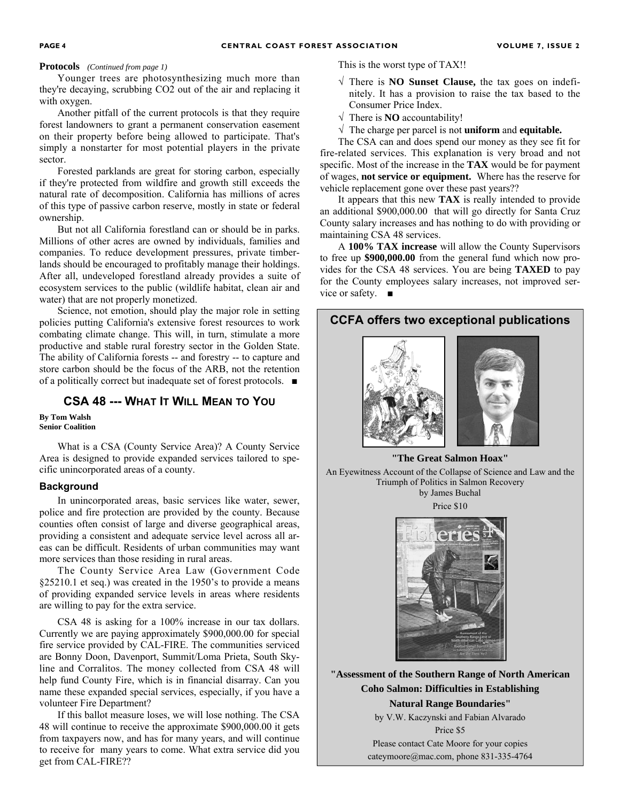#### **Protocols** *(Continued from page 1)*

Younger trees are photosynthesizing much more than they're decaying, scrubbing CO2 out of the air and replacing it with oxygen.

Another pitfall of the current protocols is that they require forest landowners to grant a permanent conservation easement on their property before being allowed to participate. That's simply a nonstarter for most potential players in the private sector.

Forested parklands are great for storing carbon, especially if they're protected from wildfire and growth still exceeds the natural rate of decomposition. California has millions of acres of this type of passive carbon reserve, mostly in state or federal ownership.

But not all California forestland can or should be in parks. Millions of other acres are owned by individuals, families and companies. To reduce development pressures, private timberlands should be encouraged to profitably manage their holdings. After all, undeveloped forestland already provides a suite of ecosystem services to the public (wildlife habitat, clean air and water) that are not properly monetized.

Science, not emotion, should play the major role in setting policies putting California's extensive forest resources to work combating climate change. This will, in turn, stimulate a more productive and stable rural forestry sector in the Golden State. The ability of California forests -- and forestry -- to capture and store carbon should be the focus of the ARB, not the retention of a politically correct but inadequate set of forest protocols. ■

#### **CSA 48 --- WHAT IT WILL MEAN TO YOU**

**By Tom Walsh Senior Coalition** 

What is a CSA (County Service Area)? A County Service Area is designed to provide expanded services tailored to specific unincorporated areas of a county.

#### **Background**

In unincorporated areas, basic services like water, sewer, police and fire protection are provided by the county. Because counties often consist of large and diverse geographical areas, providing a consistent and adequate service level across all areas can be difficult. Residents of urban communities may want more services than those residing in rural areas.

The County Service Area Law (Government Code §25210.1 et seq.) was created in the 1950's to provide a means of providing expanded service levels in areas where residents are willing to pay for the extra service.

CSA 48 is asking for a 100% increase in our tax dollars. Currently we are paying approximately \$900,000.00 for special fire service provided by CAL-FIRE. The communities serviced are Bonny Doon, Davenport, Summit/Loma Prieta, South Skyline and Corralitos. The money collected from CSA 48 will help fund County Fire, which is in financial disarray. Can you name these expanded special services, especially, if you have a volunteer Fire Department?

If this ballot measure loses, we will lose nothing. The CSA 48 will continue to receive the approximate \$900,000.00 it gets from taxpayers now, and has for many years, and will continue to receive for many years to come. What extra service did you get from CAL-FIRE??

This is the worst type of TAX!!

- √ There is **NO Sunset Clause,** the tax goes on indefinitely. It has a provision to raise the tax based to the Consumer Price Index.
- $\sqrt{\ }$  There is **NO** accountability!
- √ The charge per parcel is not **uniform** and **equitable.**

The CSA can and does spend our money as they see fit for fire-related services. This explanation is very broad and not specific. Most of the increase in the **TAX** would be for payment of wages, **not service or equipment.** Where has the reserve for vehicle replacement gone over these past years??

It appears that this new **TAX** is really intended to provide an additional \$900,000.00 that will go directly for Santa Cruz County salary increases and has nothing to do with providing or maintaining CSA 48 services.

A **100% TAX increase** will allow the County Supervisors to free up **\$900,000.00** from the general fund which now provides for the CSA 48 services. You are being **TAXED** to pay for the County employees salary increases, not improved service or safety. ■





**"Assessment of the Southern Range of North American Coho Salmon: Difficulties in Establishing Natural Range Boundaries"** 

> by V.W. Kaczynski and Fabian Alvarado Price \$5

Please contact Cate Moore for your copies cateymoore@mac.com, phone 831-335-4764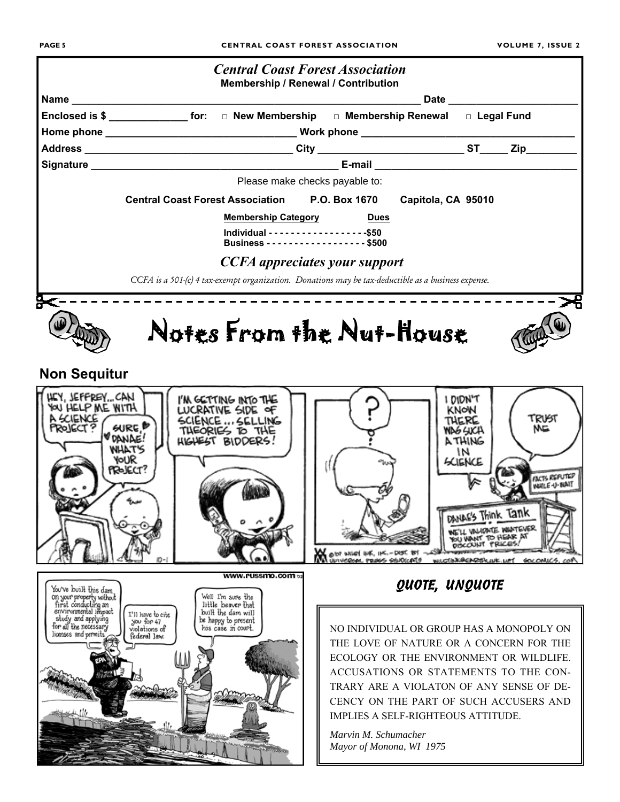